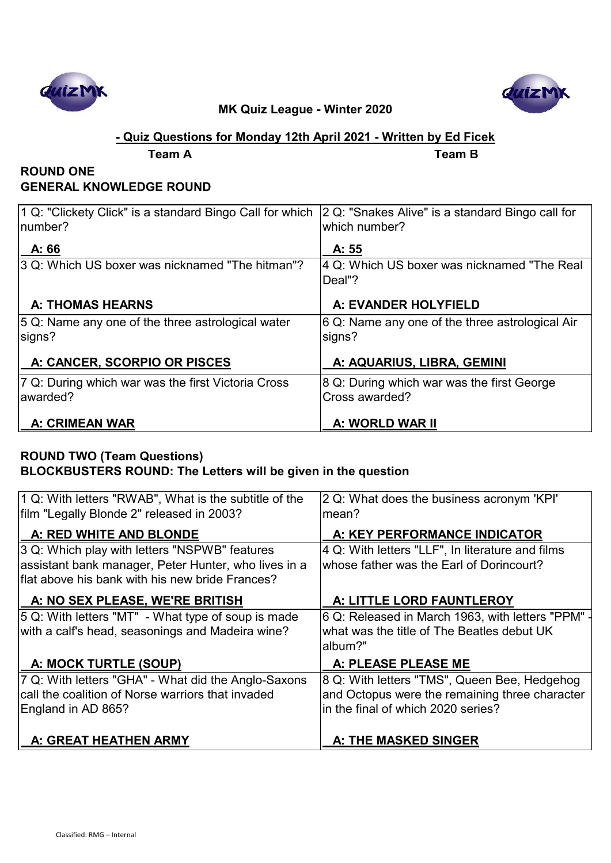



### **- Quiz Questions for Monday 12th April 2021 - Written by Ed Ficek**

**Team A Team B**

# **ROUND ONE GENERAL KNOWLEDGE ROUND**

| 1 Q: "Clickety Click" is a standard Bingo Call for which | 2 Q: "Snakes Alive" is a standard Bingo call for |
|----------------------------------------------------------|--------------------------------------------------|
| Inumber?                                                 | which number?                                    |
| A: 66                                                    | A: 55                                            |
| 3 Q: Which US boxer was nicknamed "The hitman"?          | 4 Q: Which US boxer was nicknamed "The Real      |
|                                                          | Deal"?                                           |
| <b>A: THOMAS HEARNS</b>                                  | A: EVANDER HOLYFIELD                             |
| 5 Q: Name any one of the three astrological water        | 6 Q: Name any one of the three astrological Air  |
| signs?                                                   | signs?                                           |
| A: CANCER, SCORPIO OR PISCES                             | A: AQUARIUS, LIBRA, GEMINI                       |
| 7 Q: During which war was the first Victoria Cross       | 8 Q: During which war was the first George       |
| awarded?                                                 | Cross awarded?                                   |
| <b>A: CRIMEAN WAR</b>                                    | A: WORLD WAR II                                  |

### **ROUND TWO (Team Questions) BLOCKBUSTERS ROUND: The Letters will be given in the question**

| 1 Q: With letters "RWAB", What is the subtitle of the<br>film "Legally Blonde 2" released in 2003? | 2 Q: What does the business acronym 'KPI'<br>mean? |
|----------------------------------------------------------------------------------------------------|----------------------------------------------------|
| A: RED WHITE AND BLONDE                                                                            | A: KEY PERFORMANCE INDICATOR                       |
| 3 Q: Which play with letters "NSPWB" features                                                      | 4 Q: With letters "LLF", In literature and films   |
| assistant bank manager, Peter Hunter, who lives in a                                               | whose father was the Earl of Dorincourt?           |
| Iflat above his bank with his new bride Frances?                                                   |                                                    |
| A: NO SEX PLEASE, WE'RE BRITISH                                                                    | A: LITTLE LORD FAUNTLEROY                          |
| 5 Q: With letters "MT" - What type of soup is made                                                 | 6 Q: Released in March 1963, with letters "PPM" -  |
| with a calf's head, seasonings and Madeira wine?                                                   | what was the title of The Beatles debut UK         |
|                                                                                                    | album?"                                            |
| A: MOCK TURTLE (SOUP)                                                                              | A: PLEASE PLEASE ME                                |
| 7 Q: With letters "GHA" - What did the Anglo-Saxons                                                | 8 Q: With letters "TMS", Queen Bee, Hedgehog       |
| call the coalition of Norse warriors that invaded                                                  | and Octopus were the remaining three character     |
| England in AD 865?                                                                                 | in the final of which 2020 series?                 |
|                                                                                                    |                                                    |
| A: GREAT HEATHEN ARMY                                                                              | A: THE MASKED SINGER                               |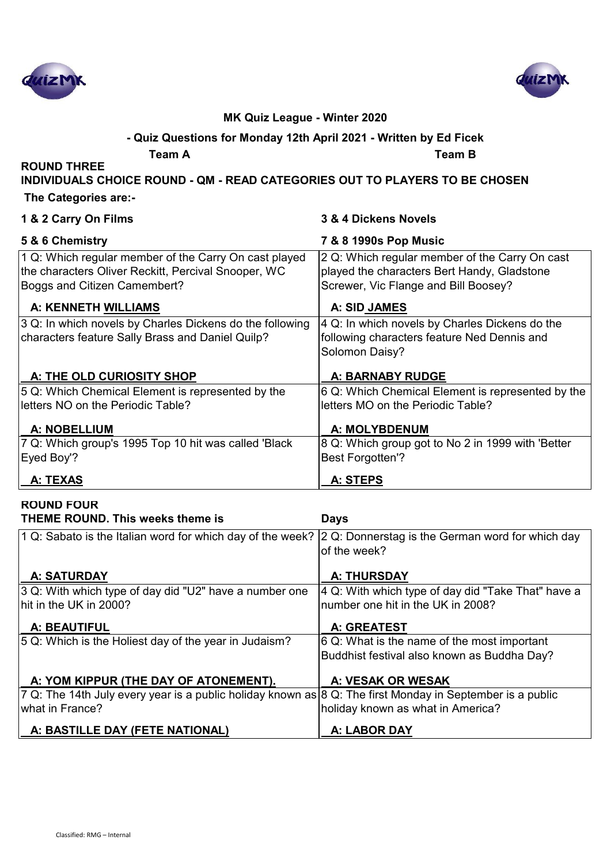



### **- Quiz Questions for Monday 12th April 2021 - Written by Ed Ficek**

**Team A Team B**

**ROUND THREE INDIVIDUALS CHOICE ROUND - QM - READ CATEGORIES OUT TO PLAYERS TO BE CHOSEN**

 **The Categories are:-**

| 1 & 2 Carry On Films                                                                                                                         | 3 & 4 Dickens Novels                                                                                                                  |
|----------------------------------------------------------------------------------------------------------------------------------------------|---------------------------------------------------------------------------------------------------------------------------------------|
| 5 & 6 Chemistry                                                                                                                              | 7 & 8 1990s Pop Music                                                                                                                 |
| 1 Q: Which regular member of the Carry On cast played<br>the characters Oliver Reckitt, Percival Snooper, WC<br>Boggs and Citizen Camembert? | 2 Q: Which regular member of the Carry On cast<br>played the characters Bert Handy, Gladstone<br>Screwer, Vic Flange and Bill Boosey? |
| A: KENNETH WILLIAMS                                                                                                                          | A: SID JAMES                                                                                                                          |
| 3 Q: In which novels by Charles Dickens do the following<br>characters feature Sally Brass and Daniel Quilp?                                 | 4 Q: In which novels by Charles Dickens do the<br>following characters feature Ned Dennis and<br>Solomon Daisy?                       |
| A: THE OLD CURIOSITY SHOP                                                                                                                    | <b>A: BARNABY RUDGE</b>                                                                                                               |
| 5 Q: Which Chemical Element is represented by the<br>letters NO on the Periodic Table?                                                       | 6 Q: Which Chemical Element is represented by the<br>letters MO on the Periodic Table?                                                |
| <b>A: NOBELLIUM</b>                                                                                                                          | <b>A: MOLYBDENUM</b>                                                                                                                  |
| 7 Q: Which group's 1995 Top 10 hit was called 'Black<br>Eyed Boy'?                                                                           | 8 Q: Which group got to No 2 in 1999 with 'Better<br><b>Best Forgotten'?</b>                                                          |
| A: TEXAS                                                                                                                                     | A: STEPS                                                                                                                              |

# **ROUND FOUR THEME ROUND. This weeks theme is Days**

| 1 Q: Sabato is the Italian word for which day of the week? $ 2 \text{ Q}$ : Donnerstag is the German word for which day | of the week?                                                   |
|-------------------------------------------------------------------------------------------------------------------------|----------------------------------------------------------------|
| <b>A: SATURDAY</b>                                                                                                      | <b>A: THURSDAY</b>                                             |
| 3 Q: With which type of day did "U2" have a number one                                                                  | $ 4 \text{ Q}$ : With which type of day did "Take That" have a |
| $\,$ hit in the UK in 2000?                                                                                             | number one hit in the UK in 2008?                              |
| <b>A: BEAUTIFUL</b>                                                                                                     | A: GREATEST                                                    |
| 5 Q: Which is the Holiest day of the year in Judaism?                                                                   | 6 Q: What is the name of the most important                    |
|                                                                                                                         | Buddhist festival also known as Buddha Day?                    |
| A: YOM KIPPUR (THE DAY OF ATONEMENT).                                                                                   | A: VESAK OR WESAK                                              |
| 7 Q: The 14th July every year is a public holiday known as 8 Q: The first Monday in September is a public               |                                                                |
| what in France?                                                                                                         | holiday known as what in America?                              |
| A: BASTILLE DAY (FETE NATIONAL)                                                                                         | A: LABOR DAY                                                   |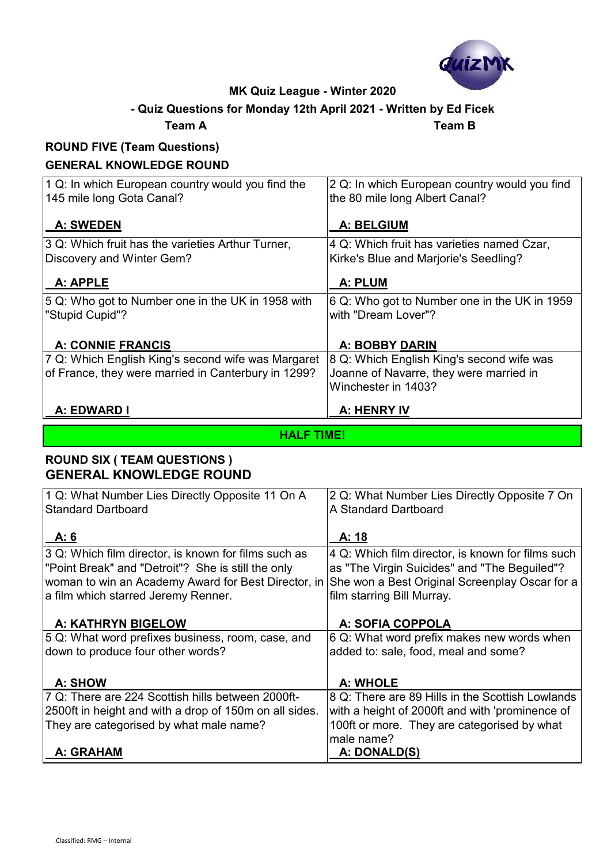

# **- Quiz Questions for Monday 12th April 2021 - Written by Ed Ficek**

#### **Team A Team B**

# **ROUND FIVE (Team Questions)**

### **GENERAL KNOWLEDGE ROUND**

| 1 Q: In which European country would you find the<br>145 mile long Gota Canal?                            | 2 Q: In which European country would you find<br>the 80 mile long Albert Canal?                             |
|-----------------------------------------------------------------------------------------------------------|-------------------------------------------------------------------------------------------------------------|
| <b>A: SWEDEN</b>                                                                                          | <b>A: BELGIUM</b>                                                                                           |
| 3 Q: Which fruit has the varieties Arthur Turner,<br>Discovery and Winter Gem?                            | 4 Q: Which fruit has varieties named Czar,<br>Kirke's Blue and Marjorie's Seedling?                         |
| A: APPLE                                                                                                  | A: PLUM                                                                                                     |
| 5 Q: Who got to Number one in the UK in 1958 with<br>"Stupid Cupid"?                                      | 6 Q: Who got to Number one in the UK in 1959<br>with "Dream Lover"?                                         |
| A: CONNIE FRANCIS                                                                                         | <b>A: BOBBY DARIN</b>                                                                                       |
| 7 Q: Which English King's second wife was Margaret<br>of France, they were married in Canterbury in 1299? | 8 Q: Which English King's second wife was<br>Joanne of Navarre, they were married in<br>Winchester in 1403? |
| A: EDWARD I                                                                                               | A: HENRY IV                                                                                                 |

#### **HALF TIME!**

### **ROUND SIX ( TEAM QUESTIONS ) GENERAL KNOWLEDGE ROUND**

| 1 Q: What Number Lies Directly Opposite 11 On A        | 2 Q: What Number Lies Directly Opposite 7 On      |
|--------------------------------------------------------|---------------------------------------------------|
| Standard Dartboard                                     | A Standard Dartboard                              |
|                                                        |                                                   |
| A: 6                                                   | A: 18                                             |
| 3 Q: Which film director, is known for films such as   | 4 Q: Which film director, is known for films such |
| "Point Break" and "Detroit"? She is still the only     | as "The Virgin Suicides" and "The Beguiled"?      |
| woman to win an Academy Award for Best Director, in    | She won a Best Original Screenplay Oscar for a    |
| a film which starred Jeremy Renner.                    | film starring Bill Murray.                        |
|                                                        |                                                   |
| A: KATHRYN BIGELOW                                     | A: SOFIA COPPOLA                                  |
| 5 Q: What word prefixes business, room, case, and      | 6 Q: What word prefix makes new words when        |
| down to produce four other words?                      | added to: sale, food, meal and some?              |
|                                                        |                                                   |
| <b>A: SHOW</b>                                         | A: WHOLE                                          |
| 7 Q: There are 224 Scottish hills between 2000ft-      | 8 Q: There are 89 Hills in the Scottish Lowlands  |
| 2500ft in height and with a drop of 150m on all sides. | with a height of 2000ft and with 'prominence of   |
| They are categorised by what male name?                | 100ft or more. They are categorised by what       |
|                                                        | male name?                                        |
| A: GRAHAM                                              | A: DONALD(S)                                      |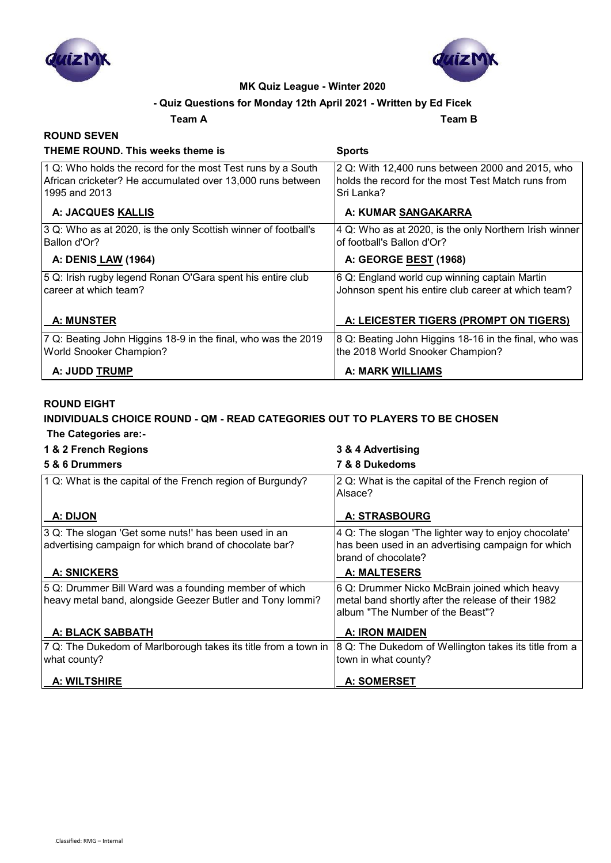



#### **- Quiz Questions for Monday 12th April 2021 - Written by Ed Ficek**

**Team A Team B**

#### **ROUND SEVEN THEME ROUND. This weeks theme is Sports** 1 Q: Who holds the record for the most Test runs by a South African cricketer? He accumulated over 13,000 runs between 1995 and 2013 2 Q: With 12,400 runs between 2000 and 2015, who holds the record for the most Test Match runs from Sri Lanka? A: JACQUES KALLIS **A: JACQUES KALLIS A: A: KUMAR SANGAKARRA** 3 Q: Who as at 2020, is the only Scottish winner of football's Ballon d'Or? 4 Q: Who as at 2020, is the only Northern Irish winner of football's Ballon d'Or?  **A: DENIS LAW (1964) A: GEORGE BEST (1968)** 5 Q: Irish rugby legend Ronan O'Gara spent his entire club career at which team? 6 Q: England world cup winning captain Martin Johnson spent his entire club career at which team? A: MUNSTER **A: LEICESTER TIGERS (PROMPT ON TIGERS**) 7 Q: Beating John Higgins 18-9 in the final, who was the 2019 World Snooker Champion? 8 Q: Beating John Higgins 18-16 in the final, who was the 2018 World Snooker Champion? A: JUDD <u>TRUMP</u> A: MARK WILLIAMS

#### **ROUND EIGHT**

#### **INDIVIDUALS CHOICE ROUND - QM - READ CATEGORIES OUT TO PLAYERS TO BE CHOSEN The Categories are:-**

#### **1 & 2 French Regions 3 & 4 Advertising**

| 5 & 6 Drummers                                                                                                     | 7 & 8 Dukedoms                                                                                                                          |
|--------------------------------------------------------------------------------------------------------------------|-----------------------------------------------------------------------------------------------------------------------------------------|
| 1 Q: What is the capital of the French region of Burgundy?                                                         | 2 Q: What is the capital of the French region of<br>Alsace?                                                                             |
| A: DIJON                                                                                                           | <b>A: STRASBOURG</b>                                                                                                                    |
| 3 Q: The slogan 'Get some nuts!' has been used in an<br>advertising campaign for which brand of chocolate bar?     | 4 Q: The slogan 'The lighter way to enjoy chocolate'<br>has been used in an advertising campaign for which<br>brand of chocolate?       |
| <b>A: SNICKERS</b>                                                                                                 | A: MALTESERS                                                                                                                            |
| 5 Q: Drummer Bill Ward was a founding member of which<br>heavy metal band, alongside Geezer Butler and Tony Iommi? | 6 Q: Drummer Nicko McBrain joined which heavy<br>metal band shortly after the release of their 1982<br>album "The Number of the Beast"? |
| A: BLACK SABBATH                                                                                                   | A: IRON MAIDEN                                                                                                                          |
| 7 Q: The Dukedom of Marlborough takes its title from a town in                                                     | 8 Q: The Dukedom of Wellington takes its title from a                                                                                   |
| what county?                                                                                                       | town in what county?                                                                                                                    |
| <b>A: WILTSHIRE</b>                                                                                                | <b>A: SOMERSET</b>                                                                                                                      |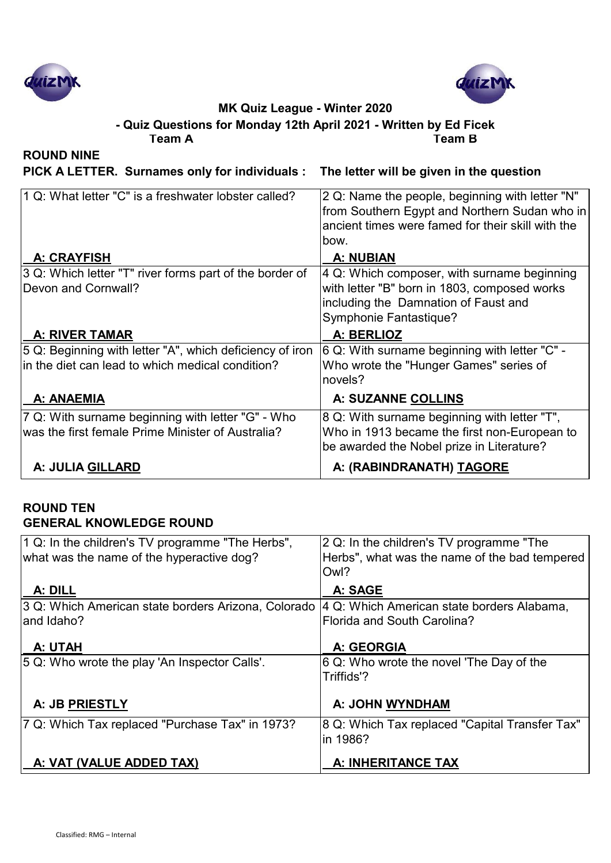



**Team A Team B - Quiz Questions for Monday 12th April 2021 - Written by Ed Ficek**

**ROUND NINE**

**PICK A LETTER. Surnames only for individuals : The letter will be given in the question**

| 1 Q: What letter "C" is a freshwater lobster called?                                                            | 2 Q: Name the people, beginning with letter "N"<br>from Southern Egypt and Northern Sudan who in<br>ancient times were famed for their skill with the<br>bow. |
|-----------------------------------------------------------------------------------------------------------------|---------------------------------------------------------------------------------------------------------------------------------------------------------------|
| A: CRAYFISH                                                                                                     | A: NUBIAN                                                                                                                                                     |
| 3 Q: Which letter "T" river forms part of the border of<br>Devon and Cornwall?                                  | 4 Q: Which composer, with surname beginning<br>with letter "B" born in 1803, composed works                                                                   |
|                                                                                                                 | including the Damnation of Faust and<br>Symphonie Fantastique?                                                                                                |
| <b>A: RIVER TAMAR</b>                                                                                           | A: BERLIOZ                                                                                                                                                    |
| 5 Q: Beginning with letter "A", which deficiency of iron<br>$\ln$ the diet can lead to which medical condition? | 6 Q: With surname beginning with letter "C" -<br>Who wrote the "Hunger Games" series of<br>novels?                                                            |
| A: ANAEMIA                                                                                                      | A: SUZANNE COLLINS                                                                                                                                            |
| 7 Q: With surname beginning with letter "G" - Who<br>was the first female Prime Minister of Australia?          | 8 Q: With surname beginning with letter "T",<br>Who in 1913 became the first non-European to<br>be awarded the Nobel prize in Literature?                     |
| A: JULIA GILLARD                                                                                                | A: (RABINDRANATH) TAGORE                                                                                                                                      |

#### **ROUND TEN GENERAL KNOWLEDGE ROUND**

| 1 Q: In the children's TV programme "The Herbs",<br>what was the name of the hyperactive dog? | 2 Q: In the children's TV programme "The<br>Herbs", what was the name of the bad tempered<br>Owl? |
|-----------------------------------------------------------------------------------------------|---------------------------------------------------------------------------------------------------|
| A: DILL                                                                                       | A: SAGE                                                                                           |
| 3 Q: Which American state borders Arizona, Colorado                                           | 4 Q: Which American state borders Alabama,                                                        |
| land Idaho?                                                                                   | Florida and South Carolina?                                                                       |
| A: UTAH                                                                                       | A: GEORGIA                                                                                        |
| 5 Q: Who wrote the play 'An Inspector Calls'.                                                 | $ 6 Q$ : Who wrote the novel 'The Day of the<br>Triffids'?                                        |
| A: JB PRIESTLY                                                                                | A: JOHN WYNDHAM                                                                                   |
| 7 Q: Which Tax replaced "Purchase Tax" in 1973?                                               | 8 Q: Which Tax replaced "Capital Transfer Tax"<br>in 1986?                                        |
| A: VAT (VALUE ADDED TAX)                                                                      | A: INHERITANCE TAX                                                                                |